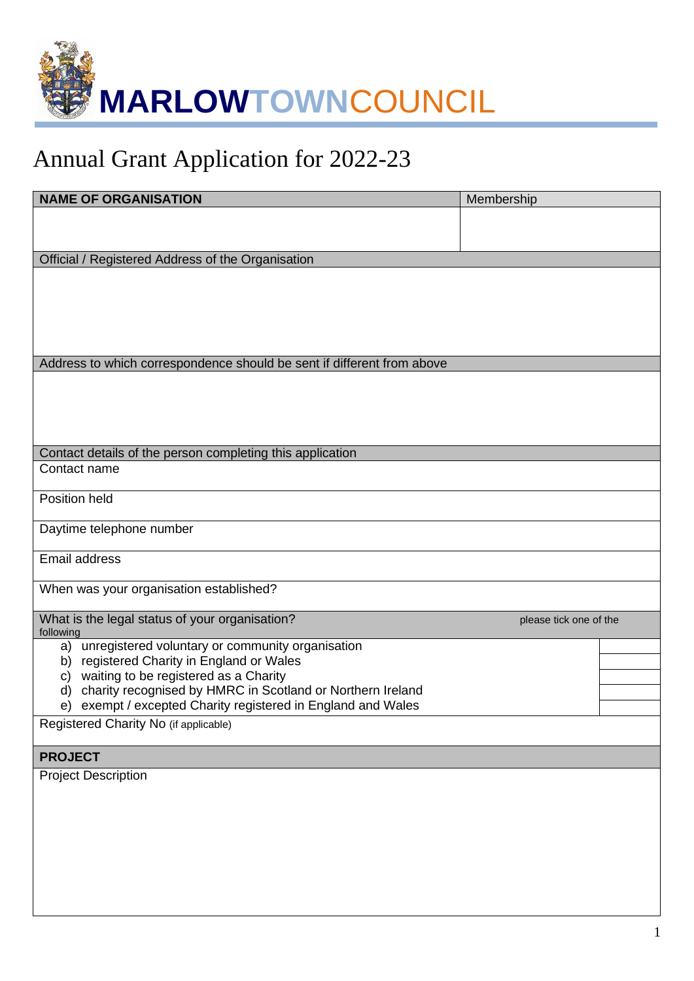

## Annual Grant Application for 2022-23

| <b>NAME OF ORGANISATION</b>                                                                                     | Membership             |
|-----------------------------------------------------------------------------------------------------------------|------------------------|
|                                                                                                                 |                        |
|                                                                                                                 |                        |
| Official / Registered Address of the Organisation                                                               |                        |
|                                                                                                                 |                        |
|                                                                                                                 |                        |
|                                                                                                                 |                        |
|                                                                                                                 |                        |
| Address to which correspondence should be sent if different from above                                          |                        |
|                                                                                                                 |                        |
|                                                                                                                 |                        |
|                                                                                                                 |                        |
|                                                                                                                 |                        |
| Contact details of the person completing this application                                                       |                        |
| Contact name                                                                                                    |                        |
| <b>Position held</b>                                                                                            |                        |
|                                                                                                                 |                        |
| Daytime telephone number                                                                                        |                        |
| Email address                                                                                                   |                        |
|                                                                                                                 |                        |
| When was your organisation established?                                                                         |                        |
|                                                                                                                 |                        |
| What is the legal status of your organisation?<br>following                                                     | please tick one of the |
| unregistered voluntary or community organisation<br>a)                                                          |                        |
| registered Charity in England or Wales<br>b)                                                                    |                        |
| waiting to be registered as a Charity<br>C)<br>charity recognised by HMRC in Scotland or Northern Ireland<br>d) |                        |
| exempt / excepted Charity registered in England and Wales<br>e)                                                 |                        |
| Registered Charity No (if applicable)                                                                           |                        |
|                                                                                                                 |                        |
| <b>PROJECT</b>                                                                                                  |                        |
| <b>Project Description</b>                                                                                      |                        |
|                                                                                                                 |                        |
|                                                                                                                 |                        |
|                                                                                                                 |                        |
|                                                                                                                 |                        |
|                                                                                                                 |                        |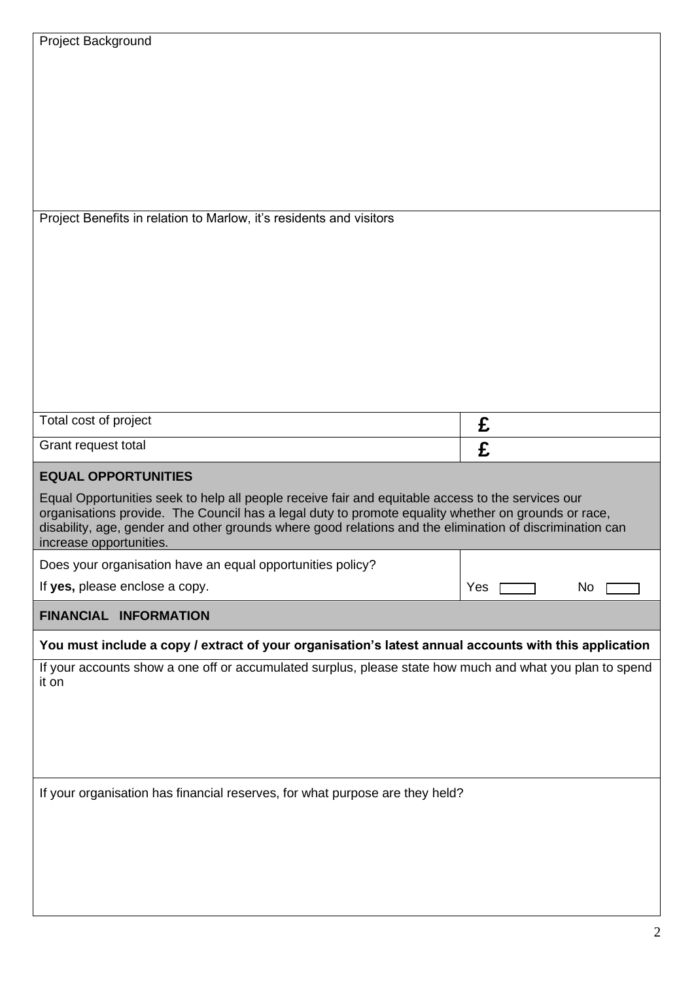| Project Background                                                                                                                                                                                                                                                                                                                              |     |    |  |
|-------------------------------------------------------------------------------------------------------------------------------------------------------------------------------------------------------------------------------------------------------------------------------------------------------------------------------------------------|-----|----|--|
|                                                                                                                                                                                                                                                                                                                                                 |     |    |  |
|                                                                                                                                                                                                                                                                                                                                                 |     |    |  |
|                                                                                                                                                                                                                                                                                                                                                 |     |    |  |
| Project Benefits in relation to Marlow, it's residents and visitors                                                                                                                                                                                                                                                                             |     |    |  |
|                                                                                                                                                                                                                                                                                                                                                 |     |    |  |
|                                                                                                                                                                                                                                                                                                                                                 |     |    |  |
|                                                                                                                                                                                                                                                                                                                                                 |     |    |  |
|                                                                                                                                                                                                                                                                                                                                                 |     |    |  |
|                                                                                                                                                                                                                                                                                                                                                 |     |    |  |
| Total cost of project                                                                                                                                                                                                                                                                                                                           | £   |    |  |
|                                                                                                                                                                                                                                                                                                                                                 |     |    |  |
| Grant request total                                                                                                                                                                                                                                                                                                                             | £   |    |  |
| <b>EQUAL OPPORTUNITIES</b>                                                                                                                                                                                                                                                                                                                      |     |    |  |
| Equal Opportunities seek to help all people receive fair and equitable access to the services our<br>organisations provide. The Council has a legal duty to promote equality whether on grounds or race,<br>disability, age, gender and other grounds where good relations and the elimination of discrimination can<br>increase opportunities. |     |    |  |
| Does your organisation have an equal opportunities policy?                                                                                                                                                                                                                                                                                      |     |    |  |
| If yes, please enclose a copy.                                                                                                                                                                                                                                                                                                                  | Yes | No |  |
| <b>FINANCIAL INFORMATION</b>                                                                                                                                                                                                                                                                                                                    |     |    |  |
| You must include a copy / extract of your organisation's latest annual accounts with this application                                                                                                                                                                                                                                           |     |    |  |
| If your accounts show a one off or accumulated surplus, please state how much and what you plan to spend<br>it on                                                                                                                                                                                                                               |     |    |  |
|                                                                                                                                                                                                                                                                                                                                                 |     |    |  |
|                                                                                                                                                                                                                                                                                                                                                 |     |    |  |
| If your organisation has financial reserves, for what purpose are they held?                                                                                                                                                                                                                                                                    |     |    |  |
|                                                                                                                                                                                                                                                                                                                                                 |     |    |  |
|                                                                                                                                                                                                                                                                                                                                                 |     |    |  |
|                                                                                                                                                                                                                                                                                                                                                 |     |    |  |